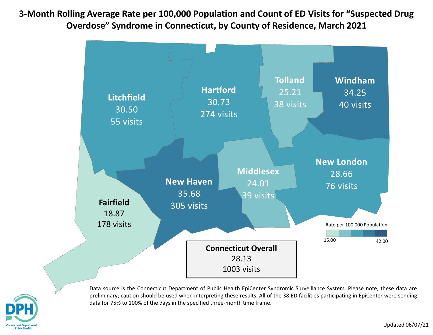**3-Month Rolling Average Rate per 100,000 Population and Count of ED Visits for "Suspected Drug Overdose" Syndrome in Connecticut, by County of Residence, March 2021**





Data source is the Connecticut Department of Public Health EpiCenter Syndromic Surveillance System. Please note, these data are preliminary; caution should be used when interpreting these results. All of the 38 ED facilities participating in EpiCenter were sending data for 75% to 100% of the days in the specified three-month time frame.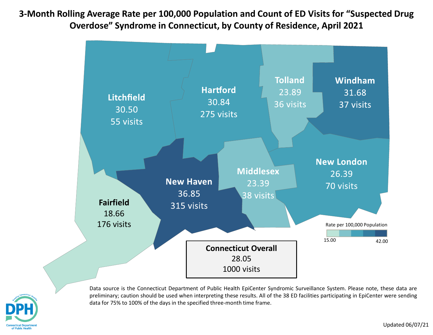**3-Month Rolling Average Rate per 100,000 Population and Count of ED Visits for "Suspected Drug Overdose" Syndrome in Connecticut, by County of Residence, April 2021**





Data source is the Connecticut Department of Public Health EpiCenter Syndromic Surveillance System. Please note, these data are preliminary; caution should be used when interpreting these results. All of the 38 ED facilities participating in EpiCenter were sending data for 75% to 100% of the days in the specified three-month time frame.